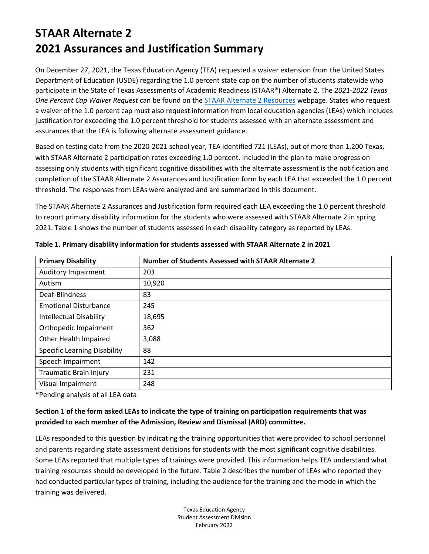On December 27, 2021, the Texas Education Agency (TEA) requested a waiver extension from the United States Department of Education (USDE) regarding the 1.0 percent state cap on the number of students statewide who participate in the State of Texas Assessments of Academic Readiness (STAAR®) Alternate 2. The *2021-2022 Texas One Percent Cap Waiver Request* can be found on the [STAAR Alternate 2 Resources](https://tea.texas.gov/student-assessment/testing/staar-alternate/staar-alternate-2-resources) webpage. States who request a waiver of the 1.0 percent cap must also request information from local education agencies (LEAs) which includes justification for exceeding the 1.0 percent threshold for students assessed with an alternate assessment and assurances that the LEA is following alternate assessment guidance.

Based on testing data from the 2020-2021 school year, TEA identified 721 (LEAs), out of more than 1,200 Texas, with STAAR Alternate 2 participation rates exceeding 1.0 percent. Included in the plan to make progress on assessing only students with significant cognitive disabilities with the alternate assessment is the notification and completion of the STAAR Alternate 2 Assurances and Justification form by each LEA that exceeded the 1.0 percent threshold. The responses from LEAs were analyzed and are summarized in this document.

The STAAR Alternate 2 Assurances and Justification form required each LEA exceeding the 1.0 percent threshold to report primary disability information for the students who were assessed with STAAR Alternate 2 in spring 2021. Table 1 shows the number of students assessed in each disability category as reported by LEAs.

| <b>Primary Disability</b>           | Number of Students Assessed with STAAR Alternate 2 |
|-------------------------------------|----------------------------------------------------|
| <b>Auditory Impairment</b>          | 203                                                |
| Autism                              | 10,920                                             |
| Deaf-Blindness                      | 83                                                 |
| <b>Emotional Disturbance</b>        | 245                                                |
| <b>Intellectual Disability</b>      | 18,695                                             |
| Orthopedic Impairment               | 362                                                |
| Other Health Impaired               | 3,088                                              |
| <b>Specific Learning Disability</b> | 88                                                 |
| Speech Impairment                   | 142                                                |
| <b>Traumatic Brain Injury</b>       | 231                                                |
| Visual Impairment                   | 248                                                |

**Table 1. Primary disability information for students assessed with STAAR Alternate 2 in 2021**

\*Pending analysis of all LEA data

### **Section 1 of the form asked LEAs to indicate the type of training on participation requirements that was provided to each member of the Admission, Review and Dismissal (ARD) committee.**

LEAs responded to this question by indicating the training opportunities that were provided to school personnel and parents regarding state assessment decisions for students with the most significant cognitive disabilities. Some LEAs reported that multiple types of trainings were provided. This information helps TEA understand what training resources should be developed in the future. Table 2 describes the number of LEAs who reported they had conducted particular types of training, including the audience for the training and the mode in which the training was delivered.

> Texas Education Agency Student Assessment Division February 2022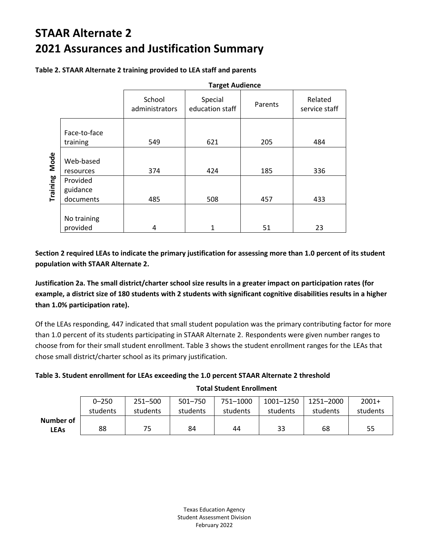|          |                                   | <b>Target Audience</b>   |                            |         |                          |  |
|----------|-----------------------------------|--------------------------|----------------------------|---------|--------------------------|--|
|          |                                   | School<br>administrators | Special<br>education staff | Parents | Related<br>service staff |  |
|          | Face-to-face<br>training          | 549                      | 621                        | 205     | 484                      |  |
| Mode     | Web-based<br>resources            | 374                      | 424                        | 185     | 336                      |  |
| Training | Provided<br>guidance<br>documents | 485                      | 508                        | 457     | 433                      |  |
|          | No training<br>provided           | 4                        |                            | 51      | 23                       |  |

**Table 2. STAAR Alternate 2 training provided to LEA staff and parents**

**Section 2 required LEAs to indicate the primary justification for assessing more than 1.0 percent of its student population with STAAR Alternate 2.** 

**Justification 2a. The small district/charter school size results in a greater impact on participation rates (for example, a district size of 180 students with 2 students with significant cognitive disabilities results in a higher than 1.0% participation rate).** 

Of the LEAs responding, 447 indicated that small student population was the primary contributing factor for more than 1.0 percent of its students participating in STAAR Alternate 2. Respondents were given number ranges to choose from for their small student enrollment. Table 3 shows the student enrollment ranges for the LEAs that chose small district/charter school as its primary justification.

### **Table 3. Student enrollment for LEAs exceeding the 1.0 percent STAAR Alternate 2 threshold**

|             | $0 - 250$ | 251-500  | 501-750  | 751-1000 | 1001-1250 | 1251-2000 | $2001+$  |
|-------------|-----------|----------|----------|----------|-----------|-----------|----------|
|             | students  | students | students | students | students  | students  | students |
| Number of   |           |          |          |          |           |           |          |
| <b>LEAs</b> | 88        | 75       | 84       | 44       | 33        | 68        | 55       |

**Total Student Enrollment**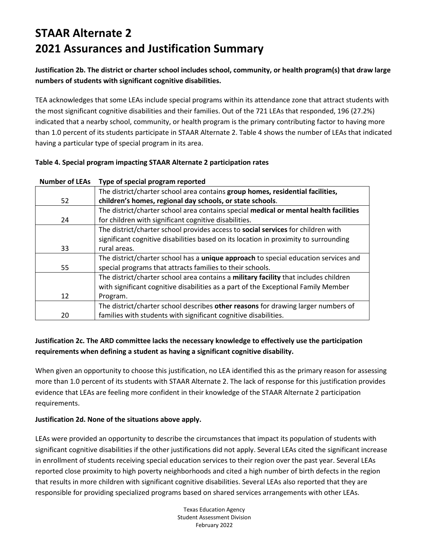**Justification 2b. The district or charter school includes school, community, or health program(s) that draw large numbers of students with significant cognitive disabilities.** 

TEA acknowledges that some LEAs include special programs within its attendance zone that attract students with the most significant cognitive disabilities and their families. Out of the 721 LEAs that responded, 196 (27.2%) indicated that a nearby school, community, or health program is the primary contributing factor to having more than 1.0 percent of its students participate in STAAR Alternate 2. Table 4 shows the number of LEAs that indicated having a particular type of special program in its area.

|  |  |  | Table 4. Special program impacting STAAR Alternate 2 participation rates |
|--|--|--|--------------------------------------------------------------------------|
|--|--|--|--------------------------------------------------------------------------|

| IVUIIINCI UI LLAJ | i ype or special program reported                                                     |
|-------------------|---------------------------------------------------------------------------------------|
|                   | The district/charter school area contains group homes, residential facilities,        |
| 52                | children's homes, regional day schools, or state schools.                             |
|                   | The district/charter school area contains special medical or mental health facilities |
| 24                | for children with significant cognitive disabilities.                                 |
|                   | The district/charter school provides access to social services for children with      |
|                   | significant cognitive disabilities based on its location in proximity to surrounding  |
| 33                | rural areas.                                                                          |
|                   | The district/charter school has a unique approach to special education services and   |
| 55                | special programs that attracts families to their schools.                             |
|                   | The district/charter school area contains a military facility that includes children  |
|                   | with significant cognitive disabilities as a part of the Exceptional Family Member    |
| 12                | Program.                                                                              |
|                   | The district/charter school describes other reasons for drawing larger numbers of     |
| 20                | families with students with significant cognitive disabilities.                       |
|                   |                                                                                       |

#### **Number of LEAs Type of special program reported**

### **Justification 2c. The ARD committee lacks the necessary knowledge to effectively use the participation requirements when defining a student as having a significant cognitive disability.**

When given an opportunity to choose this justification, no LEA identified this as the primary reason for assessing more than 1.0 percent of its students with STAAR Alternate 2. The lack of response for this justification provides evidence that LEAs are feeling more confident in their knowledge of the STAAR Alternate 2 participation requirements.

### **Justification 2d. None of the situations above apply.**

LEAs were provided an opportunity to describe the circumstances that impact its population of students with significant cognitive disabilities if the other justifications did not apply. Several LEAs cited the significant increase in enrollment of students receiving special education services to their region over the past year. Several LEAs reported close proximity to high poverty neighborhoods and cited a high number of birth defects in the region that results in more children with significant cognitive disabilities. Several LEAs also reported that they are responsible for providing specialized programs based on shared services arrangements with other LEAs.

> Texas Education Agency Student Assessment Division February 2022